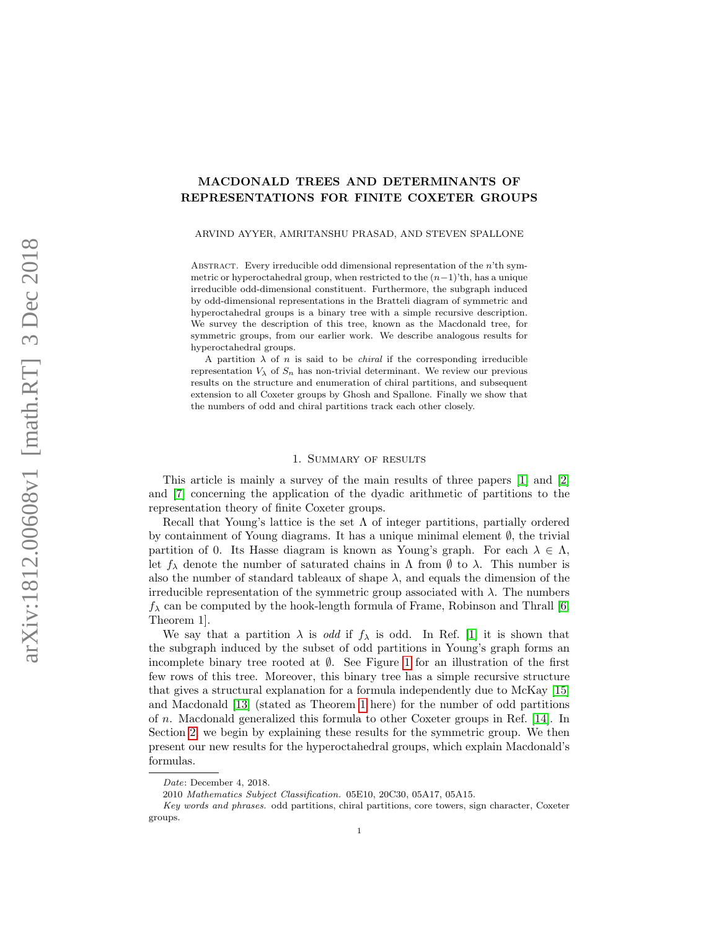# MACDONALD TREES AND DETERMINANTS OF REPRESENTATIONS FOR FINITE COXETER GROUPS

ARVIND AYYER, AMRITANSHU PRASAD, AND STEVEN SPALLONE

ABSTRACT. Every irreducible odd dimensional representation of the  $n<sup>th</sup>$  symmetric or hyperoctahedral group, when restricted to the  $(n-1)$ 'th, has a unique irreducible odd-dimensional constituent. Furthermore, the subgraph induced by odd-dimensional representations in the Bratteli diagram of symmetric and hyperoctahedral groups is a binary tree with a simple recursive description. We survey the description of this tree, known as the Macdonald tree, for symmetric groups, from our earlier work. We describe analogous results for hyperoctahedral groups.

A partition  $\lambda$  of n is said to be *chiral* if the corresponding irreducible representation  $V_{\lambda}$  of  $S_n$  has non-trivial determinant. We review our previous results on the structure and enumeration of chiral partitions, and subsequent extension to all Coxeter groups by Ghosh and Spallone. Finally we show that the numbers of odd and chiral partitions track each other closely.

# 1. Summary of results

This article is mainly a survey of the main results of three papers [\[1\]](#page-15-0) and [\[2\]](#page-15-1) and [\[7\]](#page-16-0) concerning the application of the dyadic arithmetic of partitions to the representation theory of finite Coxeter groups.

Recall that Young's lattice is the set  $\Lambda$  of integer partitions, partially ordered by containment of Young diagrams. It has a unique minimal element  $\emptyset$ , the trivial partition of 0. Its Hasse diagram is known as Young's graph. For each  $\lambda \in \Lambda$ , let  $f_\lambda$  denote the number of saturated chains in  $\Lambda$  from  $\emptyset$  to  $\lambda$ . This number is also the number of standard tableaux of shape  $\lambda$ , and equals the dimension of the irreducible representation of the symmetric group associated with  $\lambda$ . The numbers  $f_{\lambda}$  can be computed by the hook-length formula of Frame, Robinson and Thrall [\[6,](#page-16-1) Theorem 1].

We say that a partition  $\lambda$  is *odd* if  $f_{\lambda}$  is odd. In Ref. [\[1\]](#page-15-0) it is shown that the subgraph induced by the subset of odd partitions in Young's graph forms an incomplete binary tree rooted at  $\emptyset$ . See Figure [1](#page-1-0) for an illustration of the first few rows of this tree. Moreover, this binary tree has a simple recursive structure that gives a structural explanation for a formula independently due to McKay [\[15\]](#page-16-2) and Macdonald [\[13\]](#page-16-3) (stated as Theorem [1](#page-3-0) here) for the number of odd partitions of n. Macdonald generalized this formula to other Coxeter groups in Ref. [\[14\]](#page-16-4). In Section [2,](#page-2-0) we begin by explaining these results for the symmetric group. We then present our new results for the hyperoctahedral groups, which explain Macdonald's formulas.

Date: December 4, 2018.

<sup>2010</sup> Mathematics Subject Classification. 05E10, 20C30, 05A17, 05A15.

Key words and phrases. odd partitions, chiral partitions, core towers, sign character, Coxeter groups.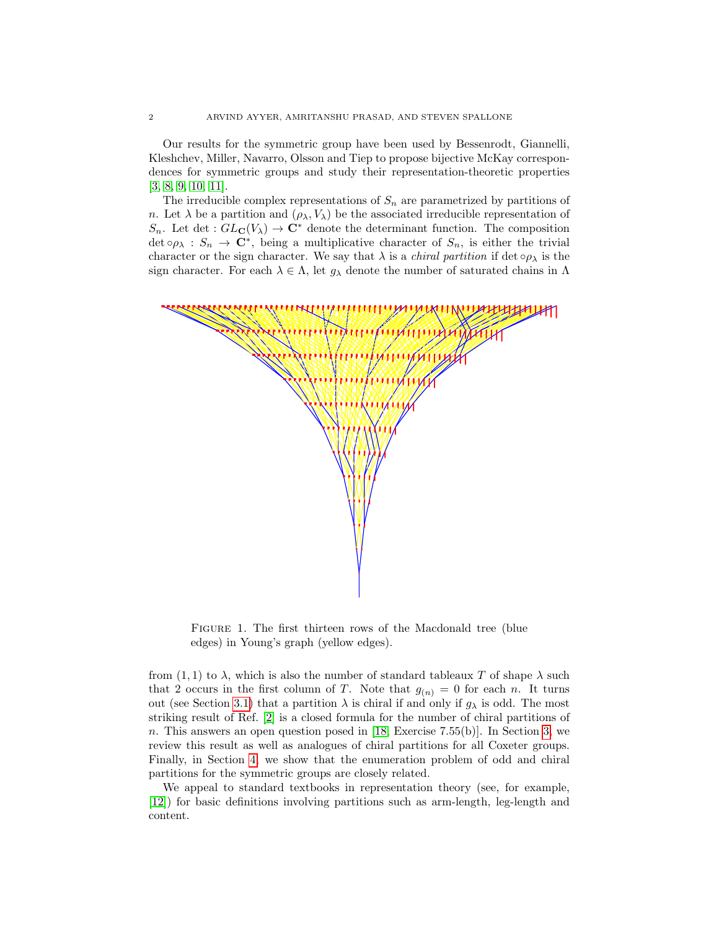Our results for the symmetric group have been used by Bessenrodt, Giannelli, Kleshchev, Miller, Navarro, Olsson and Tiep to propose bijective McKay correspondences for symmetric groups and study their representation-theoretic properties [\[3,](#page-16-5) [8,](#page-16-6) [9,](#page-16-7) [10,](#page-16-8) [11\]](#page-16-9).

The irreducible complex representations of  $S_n$  are parametrized by partitions of n. Let  $\lambda$  be a partition and  $(\rho_{\lambda}, V_{\lambda})$  be the associated irreducible representation of  $S_n$ . Let det :  $GL_{\mathbf{C}}(V_\lambda) \to \mathbf{C}^*$  denote the determinant function. The composition  $\det \circ \rho_{\lambda} : S_n \to \mathbb{C}^*$ , being a multiplicative character of  $S_n$ , is either the trivial character or the sign character. We say that  $\lambda$  is a *chiral partition* if det  $\circ \rho_{\lambda}$  is the sign character. For each  $\lambda \in \Lambda$ , let  $g_{\lambda}$  denote the number of saturated chains in  $\Lambda$ 



<span id="page-1-0"></span>FIGURE 1. The first thirteen rows of the Macdonald tree (blue edges) in Young's graph (yellow edges).

from  $(1,1)$  to  $\lambda$ , which is also the number of standard tableaux T of shape  $\lambda$  such that 2 occurs in the first column of T. Note that  $g_{(n)} = 0$  for each n. It turns out (see Section [3.1\)](#page-9-0) that a partition  $\lambda$  is chiral if and only if  $g_{\lambda}$  is odd. The most striking result of Ref. [\[2\]](#page-15-1) is a closed formula for the number of chiral partitions of n. This answers an open question posed in [\[18,](#page-16-10) Exercise 7.55(b)]. In Section [3,](#page-9-1) we review this result as well as analogues of chiral partitions for all Coxeter groups. Finally, in Section [4,](#page-14-0) we show that the enumeration problem of odd and chiral partitions for the symmetric groups are closely related.

We appeal to standard textbooks in representation theory (see, for example, [\[12\]](#page-16-11)) for basic definitions involving partitions such as arm-length, leg-length and content.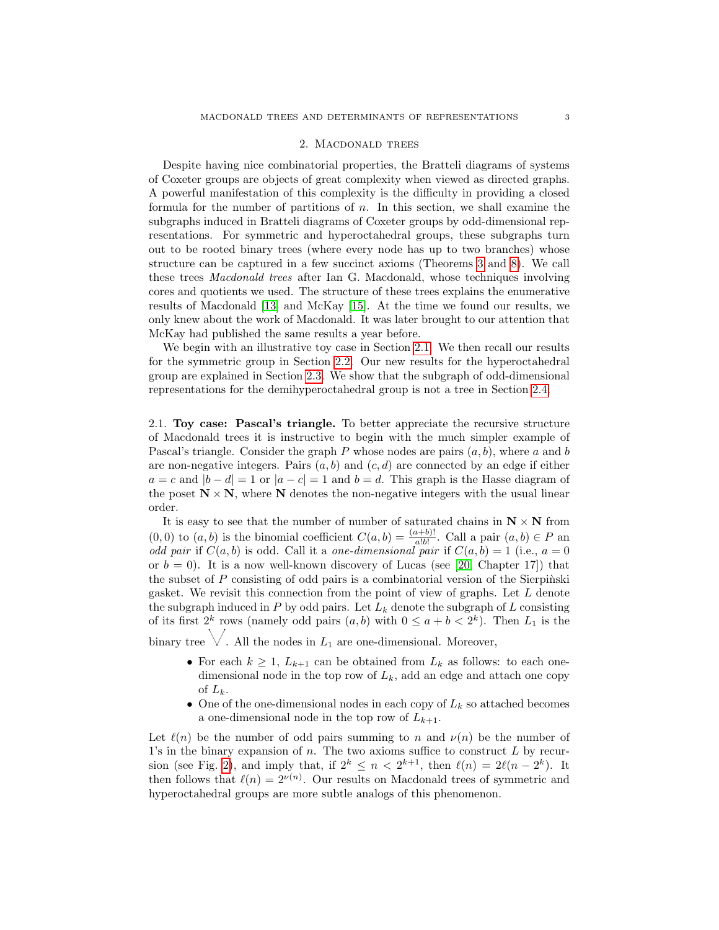## 2. Macdonald trees

<span id="page-2-0"></span>Despite having nice combinatorial properties, the Bratteli diagrams of systems of Coxeter groups are objects of great complexity when viewed as directed graphs. A powerful manifestation of this complexity is the difficulty in providing a closed formula for the number of partitions of  $n$ . In this section, we shall examine the subgraphs induced in Bratteli diagrams of Coxeter groups by odd-dimensional representations. For symmetric and hyperoctahedral groups, these subgraphs turn out to be rooted binary trees (where every node has up to two branches) whose structure can be captured in a few succinct axioms (Theorems [3](#page-4-0) and [8\)](#page-7-0). We call these trees Macdonald trees after Ian G. Macdonald, whose techniques involving cores and quotients we used. The structure of these trees explains the enumerative results of Macdonald [\[13\]](#page-16-3) and McKay [\[15\]](#page-16-2). At the time we found our results, we only knew about the work of Macdonald. It was later brought to our attention that McKay had published the same results a year before.

We begin with an illustrative toy case in Section [2.1.](#page-2-1) We then recall our results for the symmetric group in Section [2.2.](#page-2-2) Our new results for the hyperoctahedral group are explained in Section [2.3.](#page-5-0) We show that the subgraph of odd-dimensional representations for the demihyperoctahedral group is not a tree in Section [2.4.](#page-8-0)

<span id="page-2-1"></span>2.1. Toy case: Pascal's triangle. To better appreciate the recursive structure of Macdonald trees it is instructive to begin with the much simpler example of Pascal's triangle. Consider the graph  $P$  whose nodes are pairs  $(a, b)$ , where a and b are non-negative integers. Pairs  $(a, b)$  and  $(c, d)$  are connected by an edge if either  $a = c$  and  $|b - d| = 1$  or  $|a - c| = 1$  and  $b = d$ . This graph is the Hasse diagram of the poset  $N \times N$ , where N denotes the non-negative integers with the usual linear order.

It is easy to see that the number of number of saturated chains in  $N \times N$  from  $(0,0)$  to  $(a,b)$  is the binomial coefficient  $C(a,b) = \frac{(a+b)!}{a!b!}$ . Call a pair  $(a,b) \in P$  and odd pair if  $C(a, b)$  is odd. Call it a one-dimensional pair if  $C(a, b) = 1$  (i.e.,  $a = 0$ ) or  $b = 0$ ). It is a now well-known discovery of Lucas (see [\[20,](#page-16-12) Chapter 17]) that the subset of  $P$  consisting of odd pairs is a combinatorial version of the Sierpinski gasket. We revisit this connection from the point of view of graphs. Let L denote the subgraph induced in  $P$  by odd pairs. Let  $L_k$  denote the subgraph of  $L$  consisting of its first  $2^k$  rows (namely odd pairs  $(a, b)$  with  $0 \le a + b < 2^k$ ). Then  $L_1$  is the

binary tree  $\vee$ . All the nodes in  $L_1$  are one-dimensional. Moreover,

- For each  $k \geq 1$ ,  $L_{k+1}$  can be obtained from  $L_k$  as follows: to each onedimensional node in the top row of  $L_k$ , add an edge and attach one copy of  $L_k$ .
- One of the one-dimensional nodes in each copy of  $L_k$  so attached becomes a one-dimensional node in the top row of  $L_{k+1}$ .

<span id="page-2-2"></span>Let  $\ell(n)$  be the number of odd pairs summing to n and  $\nu(n)$  be the number of 1's in the binary expansion of  $n$ . The two axioms suffice to construct  $L$  by recur-sion (see Fig. [2\)](#page-3-1), and imply that, if  $2^k \leq n < 2^{k+1}$ , then  $\ell(n) = 2\ell(n-2^k)$ . It then follows that  $\ell(n) = 2^{\nu(n)}$ . Our results on Macdonald trees of symmetric and hyperoctahedral groups are more subtle analogs of this phenomenon.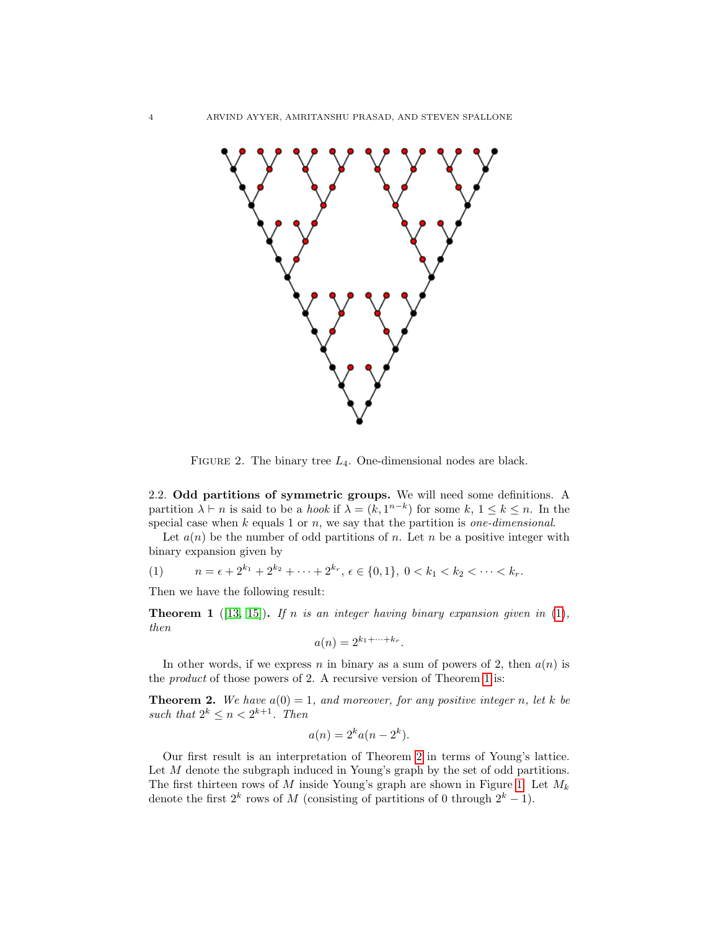

<span id="page-3-1"></span>FIGURE 2. The binary tree  $L_4$ . One-dimensional nodes are black.

2.2. Odd partitions of symmetric groups. We will need some definitions. A partition  $\lambda \vdash n$  is said to be a *hook* if  $\lambda = (k, 1^{n-k})$  for some  $k, 1 \leq k \leq n$ . In the special case when  $k$  equals 1 or  $n$ , we say that the partition is *one-dimensional*.

Let  $a(n)$  be the number of odd partitions of n. Let n be a positive integer with binary expansion given by

<span id="page-3-2"></span>(1) 
$$
n = \epsilon + 2^{k_1} + 2^{k_2} + \cdots + 2^{k_r}, \epsilon \in \{0, 1\}, 0 < k_1 < k_2 < \cdots < k_r.
$$

Then we have the following result:

<span id="page-3-0"></span>**Theorem 1** ([\[13,](#page-16-3) [15\]](#page-16-2)). If n is an integer having binary expansion given in [\(1\)](#page-3-2), then

$$
a(n) = 2^{k_1 + \dots + k_r}.
$$

In other words, if we express n in binary as a sum of powers of 2, then  $a(n)$  is the product of those powers of 2. A recursive version of Theorem [1](#page-3-0) is:

<span id="page-3-3"></span>**Theorem 2.** We have  $a(0) = 1$ , and moreover, for any positive integer n, let k be such that  $2^k \leq n < 2^{k+1}$ . Then

$$
a(n) = 2^k a(n - 2^k).
$$

Our first result is an interpretation of Theorem [2](#page-3-3) in terms of Young's lattice. Let M denote the subgraph induced in Young's graph by the set of odd partitions. The first thirteen rows of M inside Young's graph are shown in Figure [1.](#page-1-0) Let  $M_k$ denote the first  $2^k$  rows of M (consisting of partitions of 0 through  $2^k - 1$ ).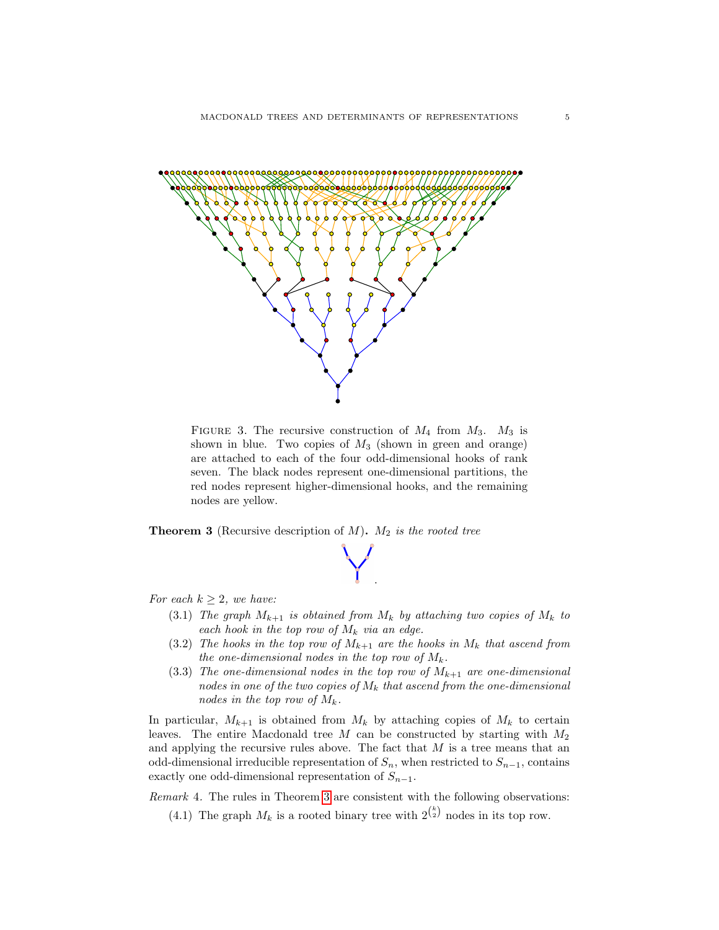

FIGURE 3. The recursive construction of  $M_4$  from  $M_3$ .  $M_3$  is shown in blue. Two copies of  $M_3$  (shown in green and orange) are attached to each of the four odd-dimensional hooks of rank seven. The black nodes represent one-dimensional partitions, the red nodes represent higher-dimensional hooks, and the remaining nodes are yellow.

<span id="page-4-1"></span><span id="page-4-0"></span>**Theorem 3** (Recursive description of  $M$ ).  $M_2$  is the rooted tree



For each  $k \geq 2$ , we have:

- (3.1) The graph  $M_{k+1}$  is obtained from  $M_k$  by attaching two copies of  $M_k$  to each hook in the top row of  $M_k$  via an edge.
- (3.2) The hooks in the top row of  $M_{k+1}$  are the hooks in  $M_k$  that ascend from the one-dimensional nodes in the top row of  $M_k$ .
- (3.3) The one-dimensional nodes in the top row of  $M_{k+1}$  are one-dimensional nodes in one of the two copies of  $M_k$  that ascend from the one-dimensional nodes in the top row of  $M_k$ .

In particular,  $M_{k+1}$  is obtained from  $M_k$  by attaching copies of  $M_k$  to certain leaves. The entire Macdonald tree  $M$  can be constructed by starting with  $M_2$ and applying the recursive rules above. The fact that  $M$  is a tree means that an odd-dimensional irreducible representation of  $S_n$ , when restricted to  $S_{n-1}$ , contains exactly one odd-dimensional representation of  $S_{n-1}$ .

Remark 4. The rules in Theorem [3](#page-4-0) are consistent with the following observations:

(4.1) The graph  $M_k$  is a rooted binary tree with  $2^{k \choose 2}$  nodes in its top row.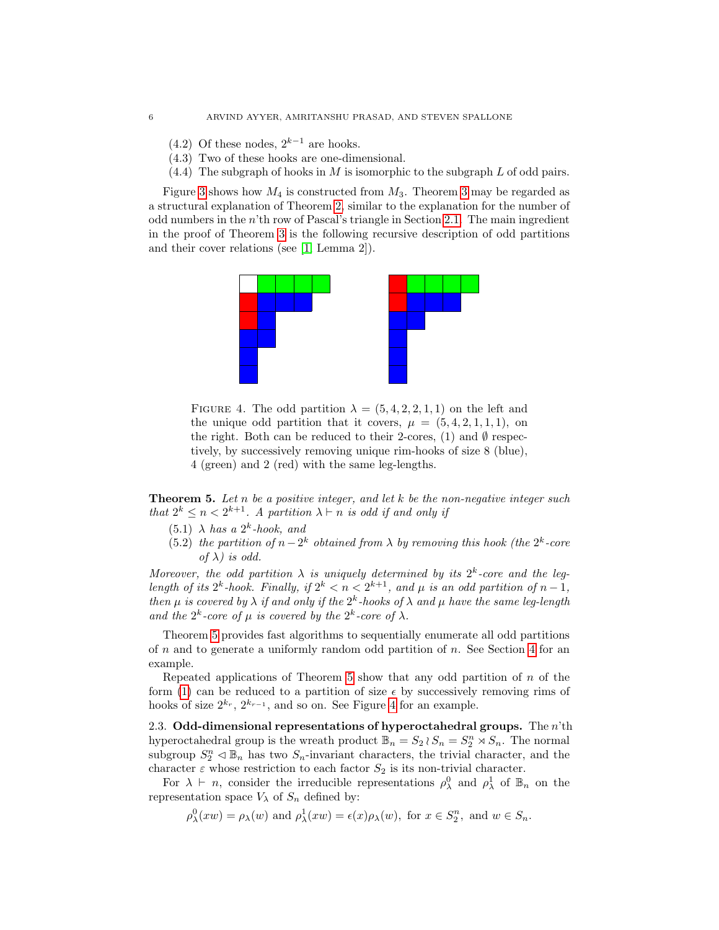- (4.2) Of these nodes,  $2^{k-1}$  are hooks.
- (4.3) Two of these hooks are one-dimensional.
- $(4.4)$  The subgraph of hooks in M is isomorphic to the subgraph L of odd pairs.

Figure [3](#page-4-0) shows how  $M_4$  is constructed from  $M_3$ . Theorem 3 may be regarded as a structural explanation of Theorem [2,](#page-3-3) similar to the explanation for the number of odd numbers in the  $n<sup>th</sup>$  row of Pascal's triangle in Section [2.1.](#page-2-1) The main ingredient in the proof of Theorem [3](#page-4-0) is the following recursive description of odd partitions and their cover relations (see [\[1,](#page-15-0) Lemma 2]).



<span id="page-5-2"></span>FIGURE 4. The odd partition  $\lambda = (5, 4, 2, 2, 1, 1)$  on the left and the unique odd partition that it covers,  $\mu = (5, 4, 2, 1, 1, 1)$ , on the right. Both can be reduced to their 2-cores, (1) and  $\emptyset$  respectively, by successively removing unique rim-hooks of size 8 (blue), 4 (green) and 2 (red) with the same leg-lengths.

<span id="page-5-1"></span>**Theorem 5.** Let n be a positive integer, and let  $k$  be the non-negative integer such that  $2^k \leq n < 2^{k+1}$ . A partition  $\lambda \vdash n$  is odd if and only if

- $(5.1)$   $\lambda$  has a  $2^k$ -hook, and
- (5.2) the partition of  $n-2^k$  obtained from  $\lambda$  by removing this hook (the  $2^k$ -core of  $\lambda$ ) is odd.

Moreover, the odd partition  $\lambda$  is uniquely determined by its  $2^k$ -core and the leglength of its  $2^k$ -hook. Finally, if  $2^k < n < 2^{k+1}$ , and  $\mu$  is an odd partition of  $n-1$ , then  $\mu$  is covered by  $\lambda$  if and only if the  $2^k$ -hooks of  $\lambda$  and  $\mu$  have the same leg-length and the  $2^k$ -core of  $\mu$  is covered by the  $2^k$ -core of  $\lambda$ .

Theorem [5](#page-5-1) provides fast algorithms to sequentially enumerate all odd partitions of n and to generate a uniformly random odd partition of n. See Section [4](#page-14-0) for an example.

Repeated applications of Theorem [5](#page-5-1) show that any odd partition of  $n$  of the form [\(1\)](#page-3-2) can be reduced to a partition of size  $\epsilon$  by successively removing rims of hooks of size  $2^{k_r}, 2^{k_{r-1}},$  and so on. See Figure [4](#page-5-2) for an example.

<span id="page-5-0"></span>2.3. Odd-dimensional representations of hyperoctahedral groups. The  $n<sup>th</sup>$ th hyperoctahedral group is the wreath product  $\mathbb{B}_n = S_2 \wr S_n = S_2^n \rtimes S_n$ . The normal subgroup  $S_2^n \triangleleft \mathbb{B}_n$  has two  $S_n$ -invariant characters, the trivial character, and the character  $\varepsilon$  whose restriction to each factor  $S_2$  is its non-trivial character.

For  $\lambda \vdash n$ , consider the irreducible representations  $\rho_{\lambda}^0$  and  $\rho_{\lambda}^1$  of  $\mathbb{B}_n$  on the representation space  $V_{\lambda}$  of  $S_n$  defined by:

 $\rho_{\lambda}^{0}(xw) = \rho_{\lambda}(w)$  and  $\rho_{\lambda}^{1}(xw) = \epsilon(x)\rho_{\lambda}(w)$ , for  $x \in S_{2}^{n}$ , and  $w \in S_{n}$ .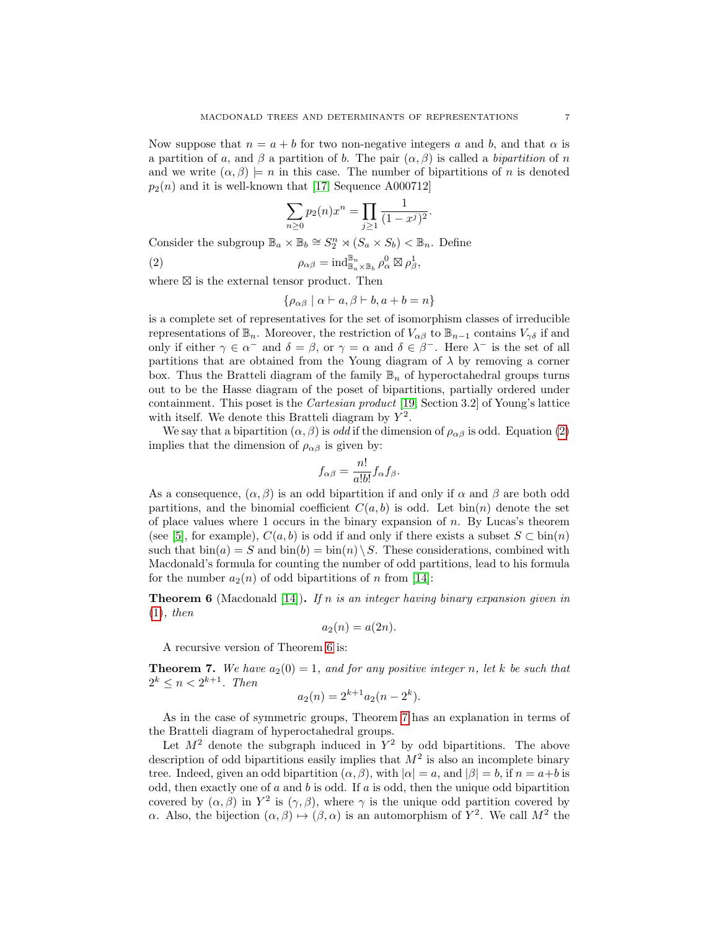Now suppose that  $n = a + b$  for two non-negative integers a and b, and that  $\alpha$  is a partition of a, and  $\beta$  a partition of b. The pair  $(\alpha, \beta)$  is called a bipartition of n and we write  $(\alpha, \beta) \models n$  in this case. The number of bipartitions of n is denoted  $p_2(n)$  and it is well-known that [\[17,](#page-16-13) Sequence A000712]

$$
\sum_{n\geq 0} p_2(n)x^n = \prod_{j\geq 1} \frac{1}{(1-x^j)^2}.
$$

Consider the subgroup  $\mathbb{B}_a \times \mathbb{B}_b \cong S_2^n \rtimes (S_a \times S_b) < \mathbb{B}_n$ . Define

(2) 
$$
\rho_{\alpha\beta} = \mathrm{ind}_{\mathbb{B}_{a}\times\mathbb{B}_{b}}^{\mathbb{B}_{n}} \rho_{\alpha}^{0} \boxtimes \rho_{\beta}^{1},
$$

where  $\boxtimes$  is the external tensor product. Then

<span id="page-6-0"></span>
$$
\{\rho_{\alpha\beta} \mid \alpha \vdash a, \beta \vdash b, a+b=n\}
$$

is a complete set of representatives for the set of isomorphism classes of irreducible representations of  $\mathbb{B}_n$ . Moreover, the restriction of  $V_{\alpha\beta}$  to  $\mathbb{B}_{n-1}$  contains  $V_{\gamma\delta}$  if and only if either  $\gamma \in \alpha^-$  and  $\delta = \beta$ , or  $\gamma = \alpha$  and  $\delta \in \beta^-$ . Here  $\lambda^-$  is the set of all partitions that are obtained from the Young diagram of  $\lambda$  by removing a corner box. Thus the Bratteli diagram of the family  $\mathbb{B}_n$  of hyperoctahedral groups turns out to be the Hasse diagram of the poset of bipartitions, partially ordered under containment. This poset is the Cartesian product [\[19,](#page-16-14) Section 3.2] of Young's lattice with itself. We denote this Bratteli diagram by  $Y^2$ .

We say that a bipartition  $(\alpha, \beta)$  is *odd* if the dimension of  $\rho_{\alpha\beta}$  is odd. Equation [\(2\)](#page-6-0) implies that the dimension of  $\rho_{\alpha\beta}$  is given by:

$$
f_{\alpha\beta} = \frac{n!}{a!b!} f_{\alpha} f_{\beta}.
$$

As a consequence,  $(\alpha, \beta)$  is an odd bipartition if and only if  $\alpha$  and  $\beta$  are both odd partitions, and the binomial coefficient  $C(a, b)$  is odd. Let bin(n) denote the set of place values where 1 occurs in the binary expansion of  $n$ . By Lucas's theorem (see [\[5\]](#page-16-15), for example),  $C(a, b)$  is odd if and only if there exists a subset  $S \subset \text{bin}(n)$ such that  $\text{bin}(a) = S$  and  $\text{bin}(b) = \text{bin}(n) \setminus S$ . These considerations, combined with Macdonald's formula for counting the number of odd partitions, lead to his formula for the number  $a_2(n)$  of odd bipartitions of n from [\[14\]](#page-16-4):

<span id="page-6-1"></span>**Theorem 6** (Macdonald [\[14\]](#page-16-4)). If n is an integer having binary expansion given in  $(1), then$  $(1), then$ 

$$
a_2(n) = a(2n).
$$

A recursive version of Theorem [6](#page-6-1) is:

<span id="page-6-2"></span>**Theorem 7.** We have  $a_2(0) = 1$ , and for any positive integer n, let k be such that  $2^k \leq n < 2^{k+1}$ . Then

$$
a_2(n) = 2^{k+1} a_2(n - 2^k).
$$

As in the case of symmetric groups, Theorem [7](#page-6-2) has an explanation in terms of the Bratteli diagram of hyperoctahedral groups.

Let  $M^2$  denote the subgraph induced in  $Y^2$  by odd bipartitions. The above description of odd bipartitions easily implies that  $M^2$  is also an incomplete binary tree. Indeed, given an odd bipartition  $(\alpha, \beta)$ , with  $|\alpha| = a$ , and  $|\beta| = b$ , if  $n = a+b$  is odd, then exactly one of  $a$  and  $b$  is odd. If  $a$  is odd, then the unique odd bipartition covered by  $(\alpha, \beta)$  in  $Y^2$  is  $(\gamma, \beta)$ , where  $\gamma$  is the unique odd partition covered by α. Also, the bijection  $(α, β) \mapsto (β, α)$  is an automorphism of  $Y^2$ . We call  $M^2$  the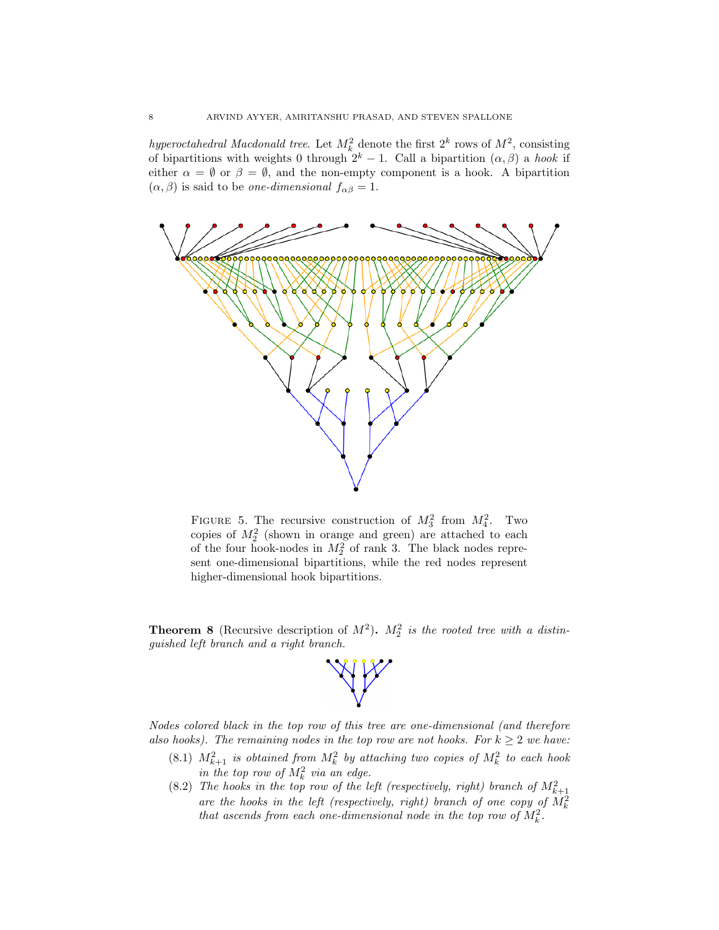hyperoctahedral Macdonald tree. Let  $M_k^2$  denote the first  $2^k$  rows of  $M^2$ , consisting of bipartitions with weights 0 through  $2^k - 1$ . Call a bipartition  $(\alpha, \beta)$  a hook if either  $\alpha = \emptyset$  or  $\beta = \emptyset$ , and the non-empty component is a hook. A bipartition  $(\alpha, \beta)$  is said to be *one-dimensional*  $f_{\alpha\beta} = 1$ .



FIGURE 5. The recursive construction of  $M_3^2$  from  $M_4^2$ . Two copies of  $M_2^2$  (shown in orange and green) are attached to each of the four hook-nodes in  $M_2^2$  of rank 3. The black nodes represent one-dimensional bipartitions, while the red nodes represent higher-dimensional hook bipartitions.

<span id="page-7-0"></span>**Theorem 8** (Recursive description of  $M^2$ ).  $M_2^2$  is the rooted tree with a distinguished left branch and a right branch.



Nodes colored black in the top row of this tree are one-dimensional (and therefore also hooks). The remaining nodes in the top row are not hooks. For  $k \geq 2$  we have:

- (8.1)  $M_{k+1}^2$  is obtained from  $M_k^2$  by attaching two copies of  $M_k^2$  to each hook in the top row of  $M_k^2$  via an edge.
- (8.2) The hooks in the top row of the left (respectively, right) branch of  $M_{k+1}^2$ are the hooks in the left (respectively, right) branch of one copy of  $M_k^2$ that ascends from each one-dimensional node in the top row of  $M_k^2$ .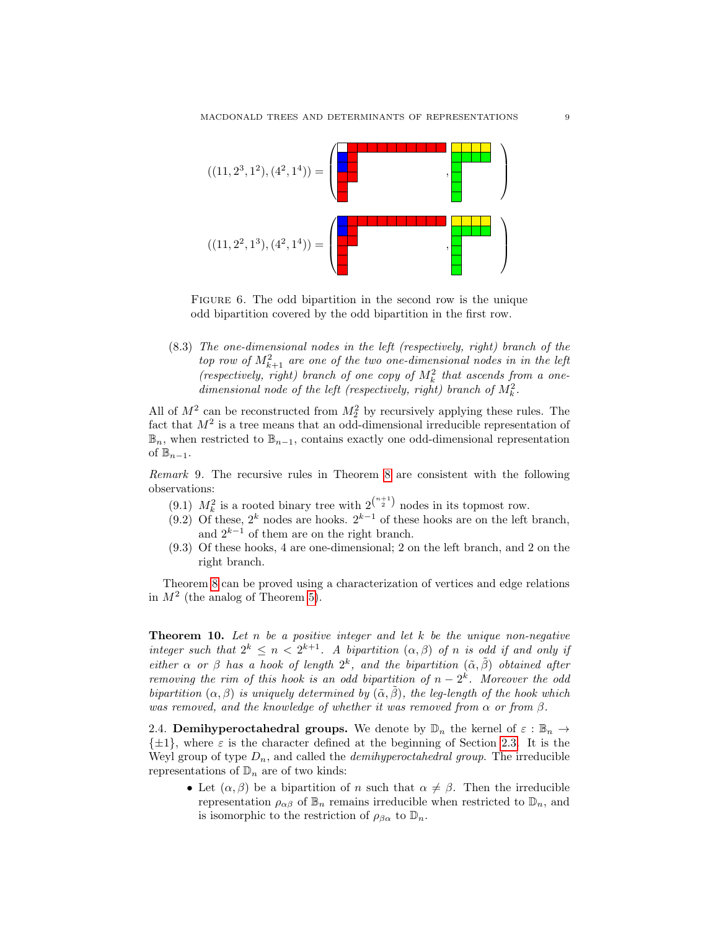

FIGURE 6. The odd bipartition in the second row is the unique odd bipartition covered by the odd bipartition in the first row.

(8.3) The one-dimensional nodes in the left (respectively, right) branch of the top row of  $M_{k+1}^2$  are one of the two one-dimensional nodes in in the left (respectively, right) branch of one copy of  $M_k^2$  that ascends from a onedimensional node of the left (respectively, right) branch of  $M_k^2$ .

All of  $M^2$  can be reconstructed from  $M_2^2$  by recursively applying these rules. The fact that  $M^2$  is a tree means that an odd-dimensional irreducible representation of  $\mathbb{B}_n$ , when restricted to  $\mathbb{B}_{n-1}$ , contains exactly one odd-dimensional representation of  $\mathbb{B}_{n-1}$ .

Remark 9. The recursive rules in Theorem [8](#page-7-0) are consistent with the following observations:

- (9.1)  $M_k^2$  is a rooted binary tree with  $2^{n+1 \choose 2}$  nodes in its topmost row.
- (9.2) Of these,  $2^k$  nodes are hooks.  $2^{k-1}$  of these hooks are on the left branch, and  $2^{k-1}$  of them are on the right branch.
- (9.3) Of these hooks, 4 are one-dimensional; 2 on the left branch, and 2 on the right branch.

Theorem [8](#page-7-0) can be proved using a characterization of vertices and edge relations in  $M^2$  (the analog of Theorem [5\)](#page-5-1).

**Theorem 10.** Let n be a positive integer and let k be the unique non-negative integer such that  $2^k \leq n < 2^{k+1}$ . A bipartition  $(\alpha, \beta)$  of n is odd if and only if either  $\alpha$  or  $\beta$  has a hook of length  $2^k$ , and the bipartition  $(\tilde{\alpha}, \tilde{\beta})$  obtained after removing the rim of this hook is an odd bipartition of  $n-2^k$ . Moreover the odd bipartition  $(\alpha, \beta)$  is uniquely determined by  $(\tilde{\alpha}, \tilde{\beta})$ , the leg-length of the hook which was removed, and the knowledge of whether it was removed from  $\alpha$  or from  $\beta$ .

<span id="page-8-0"></span>2.4. **Demihyperoctahedral groups.** We denote by  $\mathbb{D}_n$  the kernel of  $\varepsilon : \mathbb{B}_n \to$  $\{\pm 1\}$ , where  $\varepsilon$  is the character defined at the beginning of Section [2.3.](#page-5-0) It is the Weyl group of type  $D_n$ , and called the *demihyperoctahedral group*. The irreducible representations of  $\mathbb{D}_n$  are of two kinds:

• Let  $(\alpha, \beta)$  be a bipartition of n such that  $\alpha \neq \beta$ . Then the irreducible representation  $\rho_{\alpha\beta}$  of  $\mathbb{B}_n$  remains irreducible when restricted to  $\mathbb{D}_n$ , and is isomorphic to the restriction of  $\rho_{\beta\alpha}$  to  $\mathbb{D}_n$ .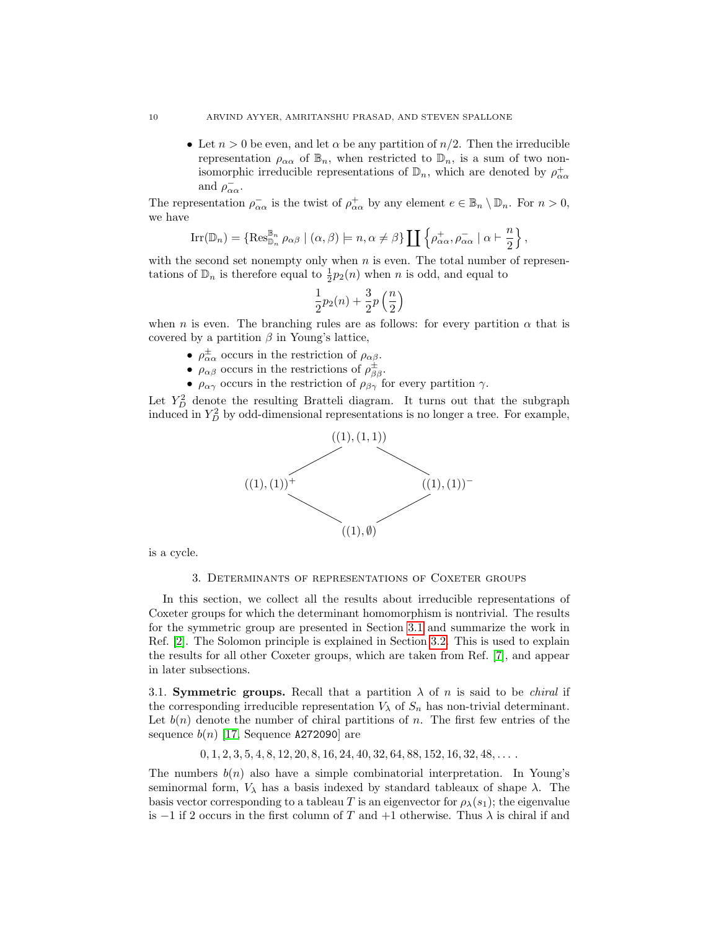• Let  $n > 0$  be even, and let  $\alpha$  be any partition of  $n/2$ . Then the irreducible representation  $\rho_{\alpha\alpha}$  of  $\mathbb{B}_n$ , when restricted to  $\mathbb{D}_n$ , is a sum of two nonisomorphic irreducible representations of  $\mathbb{D}_n$ , which are denoted by  $\rho^+_{\alpha\alpha}$ and  $\rho_{\alpha\alpha}^-$ .

The representation  $\rho_{\alpha\alpha}^-$  is the twist of  $\rho_{\alpha\alpha}^+$  by any element  $e \in \mathbb{B}_n \setminus \mathbb{D}_n$ . For  $n > 0$ , we have

$$
\operatorname{Irr}(\mathbb{D}_n) = \{ \operatorname{Res}_{\mathbb{D}_n}^{\mathbb{B}_n} \rho_{\alpha\beta} \mid (\alpha, \beta) \models n, \alpha \neq \beta \} \coprod \left\{ \rho_{\alpha\alpha}^+, \rho_{\alpha\alpha}^- \mid \alpha \vdash \frac{n}{2} \right\},\
$$

with the second set nonempty only when  $n$  is even. The total number of representations of  $\mathbb{D}_n$  is therefore equal to  $\frac{1}{2}p_2(n)$  when n is odd, and equal to

$$
\frac{1}{2}p_2(n)+\frac{3}{2}p\left(\frac{n}{2}\right)
$$

when n is even. The branching rules are as follows: for every partition  $\alpha$  that is covered by a partition  $\beta$  in Young's lattice,

- $\rho_{\alpha\alpha}^{\pm}$  occurs in the restriction of  $\rho_{\alpha\beta}$ .
- $\rho_{\alpha\beta}$  occurs in the restrictions of  $\rho_{\beta\beta}^{\pm}$ .
- $\rho_{\alpha\gamma}$  occurs in the restriction of  $\rho_{\beta\gamma}$  for every partition  $\gamma$ .

Let  $Y_D^2$  denote the resulting Bratteli diagram. It turns out that the subgraph induced in  $Y_D^2$  by odd-dimensional representations is no longer a tree. For example,



<span id="page-9-1"></span>is a cycle.

#### 3. Determinants of representations of Coxeter groups

In this section, we collect all the results about irreducible representations of Coxeter groups for which the determinant homomorphism is nontrivial. The results for the symmetric group are presented in Section [3.1](#page-9-0) and summarize the work in Ref. [\[2\]](#page-15-1). The Solomon principle is explained in Section [3.2.](#page-11-0) This is used to explain the results for all other Coxeter groups, which are taken from Ref. [\[7\]](#page-16-0), and appear in later subsections.

<span id="page-9-0"></span>3.1. Symmetric groups. Recall that a partition  $\lambda$  of n is said to be *chiral* if the corresponding irreducible representation  $V_{\lambda}$  of  $S_n$  has non-trivial determinant. Let  $b(n)$  denote the number of chiral partitions of n. The first few entries of the sequence  $b(n)$  [\[17,](#page-16-13) Sequence A272090] are

 $0, 1, 2, 3, 5, 4, 8, 12, 20, 8, 16, 24, 40, 32, 64, 88, 152, 16, 32, 48, \ldots$ 

The numbers  $b(n)$  also have a simple combinatorial interpretation. In Young's seminormal form,  $V_{\lambda}$  has a basis indexed by standard tableaux of shape  $\lambda$ . The basis vector corresponding to a tableau T is an eigenvector for  $\rho_{\lambda}(s_1)$ ; the eigenvalue is  $-1$  if 2 occurs in the first column of T and  $+1$  otherwise. Thus  $\lambda$  is chiral if and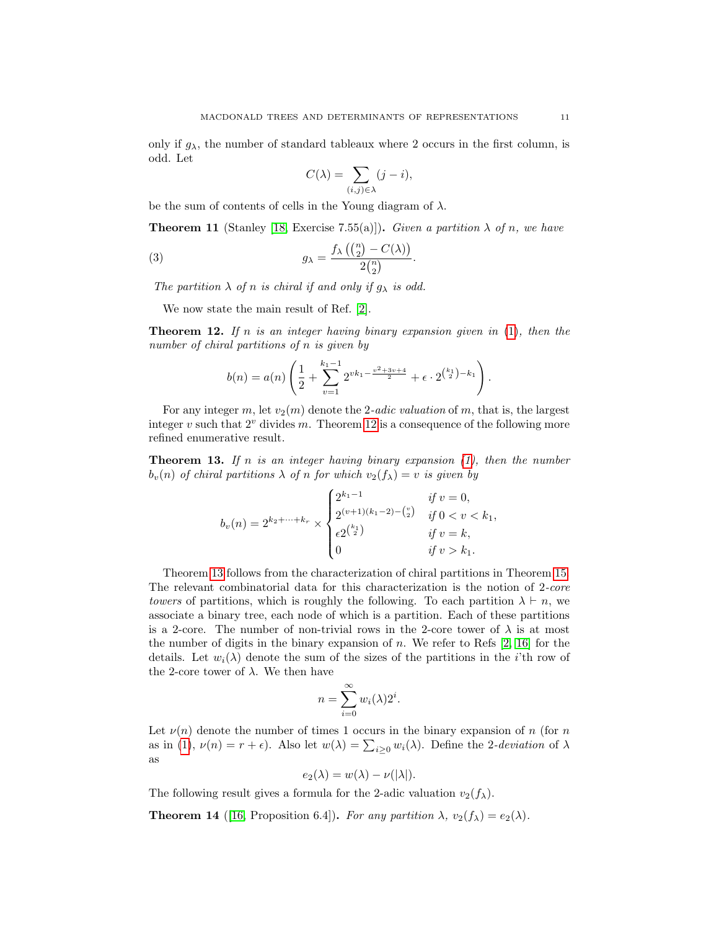only if  $g_{\lambda}$ , the number of standard tableaux where 2 occurs in the first column, is odd. Let

$$
C(\lambda) = \sum_{(i,j)\in\lambda} (j-i),
$$

be the sum of contents of cells in the Young diagram of  $\lambda$ .

**Theorem 11** (Stanley [\[18,](#page-16-10) Exercise 7.55(a)]). Given a partition  $\lambda$  of n, we have

(3) 
$$
g_{\lambda} = \frac{f_{\lambda}\left(\binom{n}{2} - C(\lambda)\right)}{2\binom{n}{2}}.
$$

The partition  $\lambda$  of n is chiral if and only if  $g_{\lambda}$  is odd.

We now state the main result of Ref. [\[2\]](#page-15-1).

<span id="page-10-0"></span>**Theorem 12.** If n is an integer having binary expansion given in  $(1)$ , then the number of chiral partitions of n is given by

$$
b(n) = a(n) \left( \frac{1}{2} + \sum_{v=1}^{k_1-1} 2^{vk_1 - \frac{v^2 + 3v + 4}{2}} + \epsilon \cdot 2^{\binom{k_1}{2} - k_1} \right).
$$

For any integer m, let  $v_2(m)$  denote the 2-adic valuation of m, that is, the largest integer v such that  $2^v$  divides m. Theorem [12](#page-10-0) is a consequence of the following more refined enumerative result.

<span id="page-10-1"></span>**Theorem 13.** If n is an integer having binary expansion  $(1)$ , then the number  $b_v(n)$  of chiral partitions  $\lambda$  of n for which  $v_2(f_\lambda) = v$  is given by

$$
b_v(n) = 2^{k_2 + \dots + k_r} \times \begin{cases} 2^{k_1 - 1} & \text{if } v = 0, \\ 2^{(v+1)(k_1 - 2) - \binom{v}{2}} & \text{if } 0 < v < k_1, \\ \epsilon 2^{\binom{k_1}{2}} & \text{if } v = k, \\ 0 & \text{if } v > k_1. \end{cases}
$$

Theorem [13](#page-10-1) follows from the characterization of chiral partitions in Theorem [15.](#page-11-1) The relevant combinatorial data for this characterization is the notion of 2-core towers of partitions, which is roughly the following. To each partition  $\lambda \vdash n$ , we associate a binary tree, each node of which is a partition. Each of these partitions is a 2-core. The number of non-trivial rows in the 2-core tower of  $\lambda$  is at most the number of digits in the binary expansion of n. We refer to Refs  $[2, 16]$  $[2, 16]$  for the details. Let  $w_i(\lambda)$  denote the sum of the sizes of the partitions in the *i*'th row of the 2-core tower of  $\lambda$ . We then have

$$
n = \sum_{i=0}^{\infty} w_i(\lambda) 2^i.
$$

Let  $\nu(n)$  denote the number of times 1 occurs in the binary expansion of n (for n as in [\(1\)](#page-3-2),  $\nu(n) = r + \epsilon$ ). Also let  $w(\lambda) = \sum_{i \geq 0} w_i(\lambda)$ . Define the 2-deviation of  $\lambda$ as

$$
e_2(\lambda) = w(\lambda) - \nu(|\lambda|).
$$

The following result gives a formula for the 2-adic valuation  $v_2(f_\lambda)$ .

<span id="page-10-2"></span>**Theorem 14** ([\[16,](#page-16-16) Proposition 6.4]). For any partition  $\lambda$ ,  $v_2(f_\lambda) = e_2(\lambda)$ .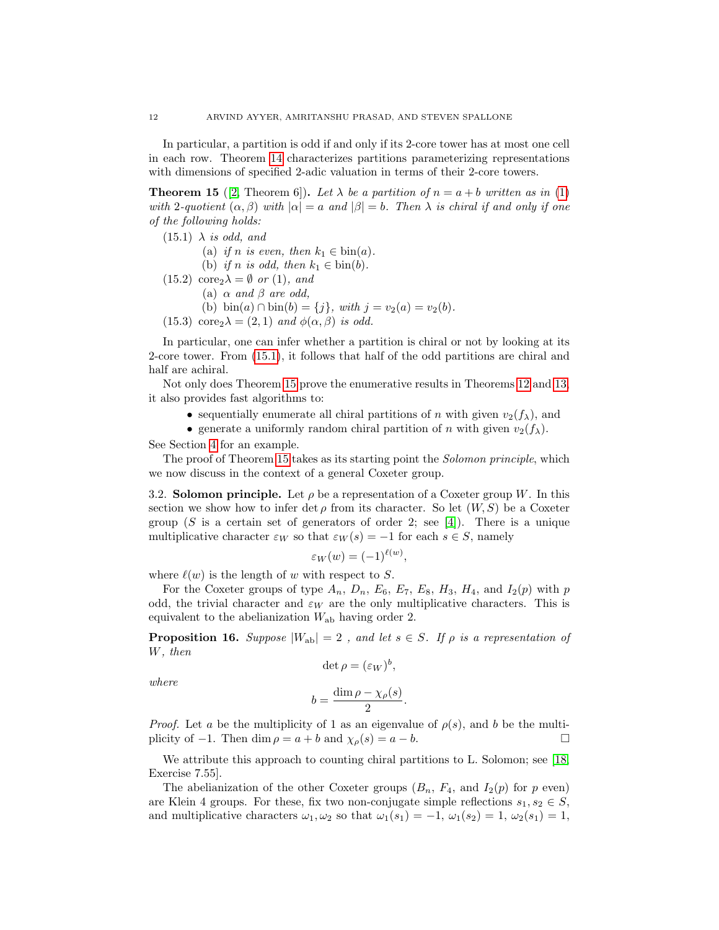In particular, a partition is odd if and only if its 2-core tower has at most one cell in each row. Theorem [14](#page-10-2) characterizes partitions parameterizing representations with dimensions of specified 2-adic valuation in terms of their 2-core towers.

<span id="page-11-1"></span>**Theorem 15** ([\[2,](#page-15-1) Theorem 6]). Let  $\lambda$  be a partition of  $n = a + b$  written as in [\(1\)](#page-3-2) with 2-quotient  $(\alpha, \beta)$  with  $|\alpha| = a$  and  $|\beta| = b$ . Then  $\lambda$  is chiral if and only if one of the following holds:

- <span id="page-11-2"></span> $(15.1)$   $\lambda$  is odd, and
	- (a) if n is even, then  $k_1 \in \text{bin}(a)$ .
	- (b) if n is odd, then  $k_1 \in \text{bin}(b)$ .
- $(15.2) \operatorname{core}_2 \lambda = \emptyset \text{ or } (1), \text{ and}$ 
	- (a)  $\alpha$  and  $\beta$  are odd,
		- (b)  $\sin(a) \cap \sin(b) = \{j\}$ , with  $j = v_2(a) = v_2(b)$ .
- (15.3) core<sub>2</sub> $\lambda = (2, 1)$  and  $\phi(\alpha, \beta)$  is odd.

In particular, one can infer whether a partition is chiral or not by looking at its 2-core tower. From [\(15.1\)](#page-11-2), it follows that half of the odd partitions are chiral and half are achiral.

Not only does Theorem [15](#page-11-1) prove the enumerative results in Theorems [12](#page-10-0) and [13,](#page-10-1) it also provides fast algorithms to:

- sequentially enumerate all chiral partitions of n with given  $v_2(f_\lambda)$ , and
- generate a uniformly random chiral partition of n with given  $v_2(f_\lambda)$ .

See Section [4](#page-14-0) for an example.

The proof of Theorem [15](#page-11-1) takes as its starting point the *Solomon principle*, which we now discuss in the context of a general Coxeter group.

<span id="page-11-0"></span>3.2. Solomon principle. Let  $\rho$  be a representation of a Coxeter group W. In this section we show how to infer det  $\rho$  from its character. So let  $(W, S)$  be a Coxeter group (S is a certain set of generators of order 2; see [\[4\]](#page-16-17)). There is a unique multiplicative character  $\varepsilon_W$  so that  $\varepsilon_W(s) = -1$  for each  $s \in S$ , namely

$$
\varepsilon_W(w) = (-1)^{\ell(w)},
$$

where  $\ell(w)$  is the length of w with respect to S.

For the Coxeter groups of type  $A_n$ ,  $D_n$ ,  $E_6$ ,  $E_7$ ,  $E_8$ ,  $H_3$ ,  $H_4$ , and  $I_2(p)$  with p odd, the trivial character and  $\varepsilon_W$  are the only multiplicative characters. This is equivalent to the abelianization  $W_{ab}$  having order 2.

<span id="page-11-3"></span>**Proposition 16.** Suppose  $|W_{ab}| = 2$ , and let  $s \in S$ . If  $\rho$  is a representation of W, then

$$
\det \rho = (\varepsilon_W)^b,
$$

where

$$
b = \frac{\dim \rho - \chi_{\rho}(s)}{2}.
$$

*Proof.* Let a be the multiplicity of 1 as an eigenvalue of  $\rho(s)$ , and b be the multiplicity of  $-1$ . Then dim  $\rho = a + b$  and  $\chi_{\rho}(s) = a - b$ .

We attribute this approach to counting chiral partitions to L. Solomon; see [\[18,](#page-16-10) Exercise 7.55].

The abelianization of the other Coxeter groups  $(B_n, F_4, \text{ and } I_2(p)$  for p even) are Klein 4 groups. For these, fix two non-conjugate simple reflections  $s_1, s_2 \in S$ , and multiplicative characters  $\omega_1, \omega_2$  so that  $\omega_1(s_1) = -1$ ,  $\omega_1(s_2) = 1$ ,  $\omega_2(s_1) = 1$ ,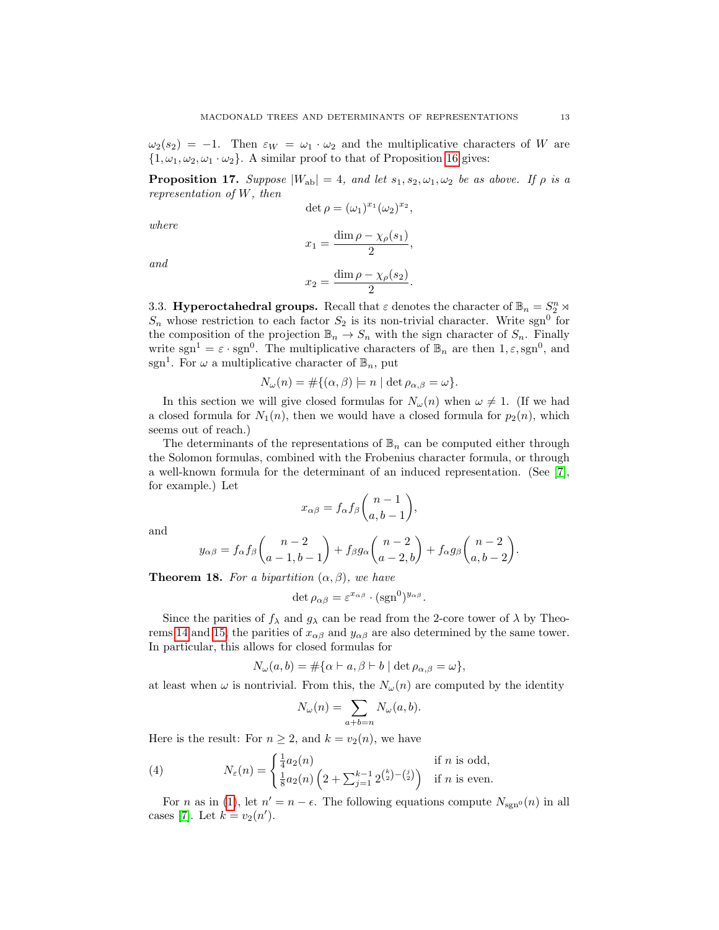$\omega_2(s_2) = -1$ . Then  $\varepsilon_W = \omega_1 \cdot \omega_2$  and the multiplicative characters of W are  $\{1,\omega_1,\omega_2,\omega_1\cdot\omega_2\}$ . A similar proof to that of Proposition [16](#page-11-3) gives:

**Proposition 17.** Suppose  $|W_{ab}| = 4$ , and let  $s_1, s_2, \omega_1, \omega_2$  be as above. If  $\rho$  is a representation of W, then

$$
\det \rho = (\omega_1)^{x_1} (\omega_2)^{x_2},
$$

where

and

$$
x_1 = \frac{\dim \rho - \chi_{\rho}(s_1)}{2},
$$

$$
\dim \rho - \chi_{\rho}(s_2)
$$

 $x_2 = \frac{\dim \rho - \chi_\rho(s_2)}{2}$  $\frac{\lambda p^{(0)} }{2}.$ 

<span id="page-12-0"></span>3.3. Hyperoctahedral groups. Recall that  $\varepsilon$  denotes the character of  $\mathbb{B}_n = S_2^n \rtimes$  $S_n$  whose restriction to each factor  $S_2$  is its non-trivial character. Write sgn<sup>0</sup> for the composition of the projection  $\mathbb{B}_n \to S_n$  with the sign character of  $S_n$ . Finally write sgn<sup>1</sup> =  $\varepsilon \cdot$ sgn<sup>0</sup>. The multiplicative characters of  $\mathbb{B}_n$  are then  $1, \varepsilon$ , sgn<sup>0</sup>, and sgn<sup>1</sup>. For  $\omega$  a multiplicative character of  $\mathbb{B}_n$ , put

$$
N_{\omega}(n) = \#\{(\alpha, \beta) \models n \mid \det \rho_{\alpha, \beta} = \omega\}.
$$

In this section we will give closed formulas for  $N_{\omega}(n)$  when  $\omega \neq 1$ . (If we had a closed formula for  $N_1(n)$ , then we would have a closed formula for  $p_2(n)$ , which seems out of reach.)

The determinants of the representations of  $\mathbb{B}_n$  can be computed either through the Solomon formulas, combined with the Frobenius character formula, or through a well-known formula for the determinant of an induced representation. (See [\[7\]](#page-16-0), for example.) Let

$$
x_{\alpha\beta} = f_{\alpha} f_{\beta} \binom{n-1}{a, b-1},
$$

and

$$
y_{\alpha\beta} = f_{\alpha}f_{\beta}\binom{n-2}{a-1,b-1} + f_{\beta}g_{\alpha}\binom{n-2}{a-2,b} + f_{\alpha}g_{\beta}\binom{n-2}{a,b-2}.
$$

**Theorem 18.** For a bipartition  $(\alpha, \beta)$ , we have

$$
\det \rho_{\alpha\beta} = \varepsilon^{x_{\alpha\beta}} \cdot (\text{sgn}^0)^{y_{\alpha\beta}}.
$$

Since the parities of  $f_{\lambda}$  and  $g_{\lambda}$  can be read from the 2-core tower of  $\lambda$  by Theo-rems [14](#page-10-2) and [15,](#page-11-1) the parities of  $x_{\alpha\beta}$  and  $y_{\alpha\beta}$  are also determined by the same tower. In particular, this allows for closed formulas for

$$
N_{\omega}(a,b) = \#\{\alpha \vdash a, \beta \vdash b \mid \det \rho_{\alpha,\beta} = \omega\},\
$$

at least when  $\omega$  is nontrivial. From this, the  $N_{\omega}(n)$  are computed by the identity

$$
N_{\omega}(n) = \sum_{a+b=n} N_{\omega}(a, b).
$$

Here is the result: For  $n \geq 2$ , and  $k = v_2(n)$ , we have

(4) 
$$
N_{\varepsilon}(n) = \begin{cases} \frac{1}{4} a_2(n) & \text{if } n \text{ is odd,} \\ \frac{1}{8} a_2(n) \left(2 + \sum_{j=1}^{k-1} 2^{\binom{k}{2} - \binom{j}{2}}\right) & \text{if } n \text{ is even.} \end{cases}
$$

For *n* as in [\(1\)](#page-3-2), let  $n' = n - \epsilon$ . The following equations compute  $N_{\text{sgn}^0}(n)$  in all cases [\[7\]](#page-16-0). Let  $k = v_2(n')$ .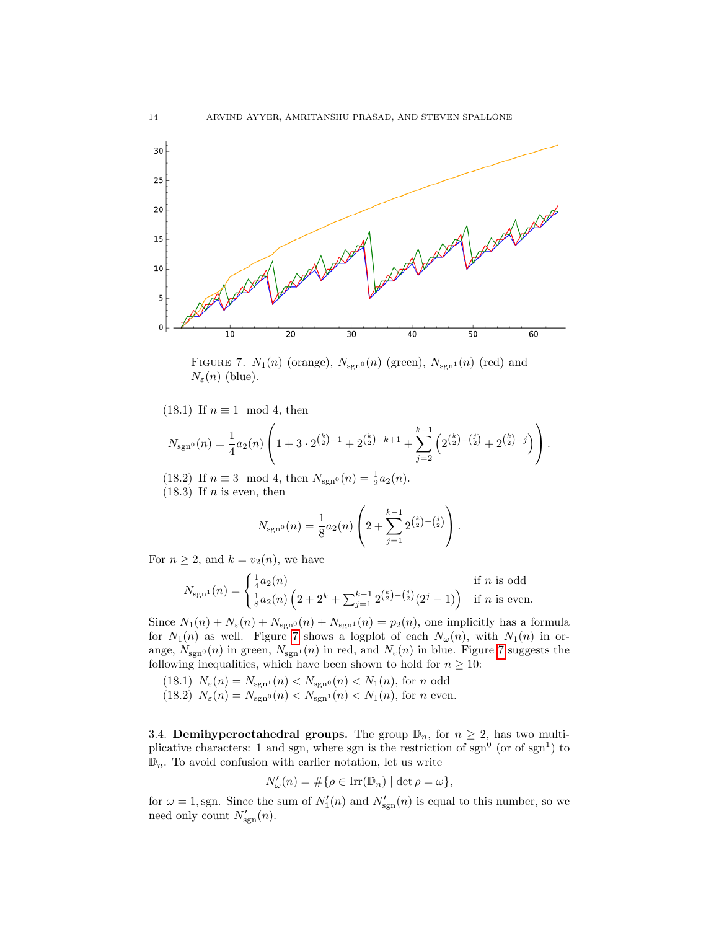

<span id="page-13-0"></span>FIGURE 7.  $N_1(n)$  (orange),  $N_{\text{sgn}^0}(n)$  (green),  $N_{\text{sgn}^1}(n)$  (red) and  $N_{\varepsilon}(n)$  (blue).

(18.1) If  $n \equiv 1 \mod 4$ , then

$$
N_{\rm sgn^0}(n) = \frac{1}{4} a_2(n) \left( 1 + 3 \cdot 2^{\binom{k}{2}-1} + 2^{\binom{k}{2}-k+1} + \sum_{j=2}^{k-1} \left( 2^{\binom{k}{2}-\binom{j}{2}} + 2^{\binom{k}{2}-j} \right) \right).
$$

(18.2) If  $n \equiv 3 \mod 4$ , then  $N_{\text{sgn}^0}(n) = \frac{1}{2} a_2(n)$ .  $(18.3)$  If *n* is even, then

$$
N_{\rm sgn^0}(n) = \frac{1}{8} a_2(n) \left( 2 + \sum_{j=1}^{k-1} 2^{\binom{k}{2} - \binom{j}{2}} \right).
$$

For  $n \geq 2$ , and  $k = v_2(n)$ , we have

$$
N_{\text{sgn}^{1}}(n) = \begin{cases} \frac{1}{4}a_{2}(n) & \text{if } n \text{ is odd} \\ \frac{1}{8}a_{2}(n)\left(2+2^{k}+\sum_{j=1}^{k-1}2^{\binom{k}{2}-\binom{j}{2}}(2^{j}-1)\right) & \text{if } n \text{ is even.} \end{cases}
$$

Since  $N_1(n) + N_{\varepsilon}(n) + N_{\text{sgn}^0}(n) + N_{\text{sgn}^1}(n) = p_2(n)$ , one implicitly has a formula for  $N_1(n)$  as well. Figure [7](#page-13-0) shows a logplot of each  $N_\omega(n)$ , with  $N_1(n)$  in orange,  $N_{\text{sgn}^0}(n)$  in green,  $N_{\text{sgn}^1}(n)$  in red, and  $N_{\varepsilon}(n)$  in blue. Figure [7](#page-13-0) suggests the following inequalities, which have been shown to hold for  $n \geq 10$ :

- (18.1)  $N_{\varepsilon}(n) = N_{\text{sgn}^1}(n) < N_{\text{sgn}^0}(n) < N_1(n)$ , for n odd
- (18.2)  $N_{\varepsilon}(n) = N_{\text{sgn}^0}(n) < N_{\text{sgn}^1}(n) < N_1(n)$ , for *n* even.

3.4. **Demihyperoctahedral groups.** The group  $\mathbb{D}_n$ , for  $n \geq 2$ , has two multiplicative characters: 1 and sgn, where sgn is the restriction of sgn<sup>0</sup> (or of sgn<sup>1</sup>) to  $\mathbb{D}_n$ . To avoid confusion with earlier notation, let us write

$$
N'_{\omega}(n) = \#\{\rho \in \operatorname{Irr}(\mathbb{D}_n) \mid \det \rho = \omega\},\
$$

for  $\omega = 1$ , sgn. Since the sum of  $N_1'(n)$  and  $N'_{sgn}(n)$  is equal to this number, so we need only count  $N'_{\text{sgn}}(n)$ .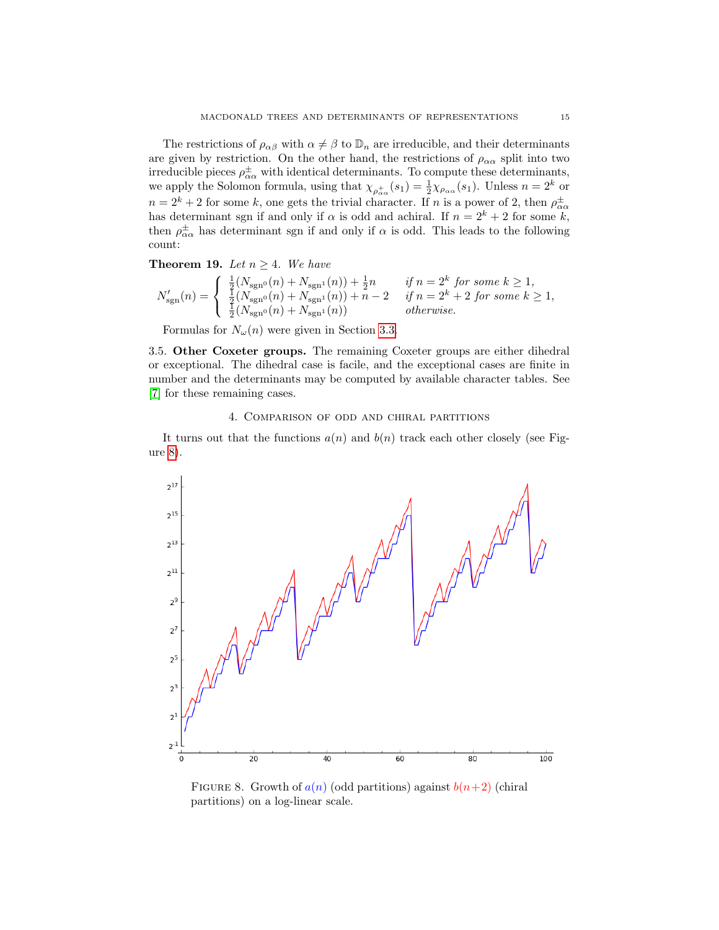The restrictions of  $\rho_{\alpha\beta}$  with  $\alpha \neq \beta$  to  $\mathbb{D}_n$  are irreducible, and their determinants are given by restriction. On the other hand, the restrictions of  $\rho_{\alpha\alpha}$  split into two irreducible pieces  $\rho_{\alpha\alpha}^{\pm}$  with identical determinants. To compute these determinants, we apply the Solomon formula, using that  $\chi_{\rho_{\alpha\alpha}^+}(s_1) = \frac{1}{2}\chi_{\rho_{\alpha\alpha}}(s_1)$ . Unless  $n = 2^k$  or  $n = 2<sup>k</sup> + 2$  for some k, one gets the trivial character. If n is a power of 2, then  $\rho_{\alpha\alpha}^{\pm}$ has determinant sgn if and only if  $\alpha$  is odd and achiral. If  $n = 2^k + 2$  for some k, then  $\rho_{\alpha\alpha}^{\pm}$  has determinant sgn if and only if  $\alpha$  is odd. This leads to the following count:

Theorem 19. Let  $n \geq 4$ . We have

$$
N_{\rm sgn}^{\prime}(n) = \left\{ \begin{array}{ll} \frac{1}{2}(N_{\rm sgn^0}(n) + N_{\rm sgn^1}(n)) + \frac{1}{2}n & \textit{if } n = 2^k \textit{ for some } k \geq 1,\\ \frac{1}{2}(N_{\rm sgn^0}(n) + N_{\rm sgn^1}(n)) + n - 2 & \textit{if } n = 2^k + 2 \textit{ for some } k \geq 1,\\ \frac{1}{2}(N_{\rm sgn^0}(n) + N_{\rm sgn^1}(n)) & \textit{otherwise}. \end{array} \right.
$$

Formulas for  $N_{\omega}(n)$  were given in Section [3.3.](#page-12-0)

3.5. Other Coxeter groups. The remaining Coxeter groups are either dihedral or exceptional. The dihedral case is facile, and the exceptional cases are finite in number and the determinants may be computed by available character tables. See [\[7\]](#page-16-0) for these remaining cases.

## 4. Comparison of odd and chiral partitions

<span id="page-14-0"></span>It turns out that the functions  $a(n)$  and  $b(n)$  track each other closely (see Figure [8\)](#page-14-1).



<span id="page-14-1"></span>FIGURE 8. Growth of  $a(n)$  (odd partitions) against  $b(n+2)$  (chiral partitions) on a log-linear scale.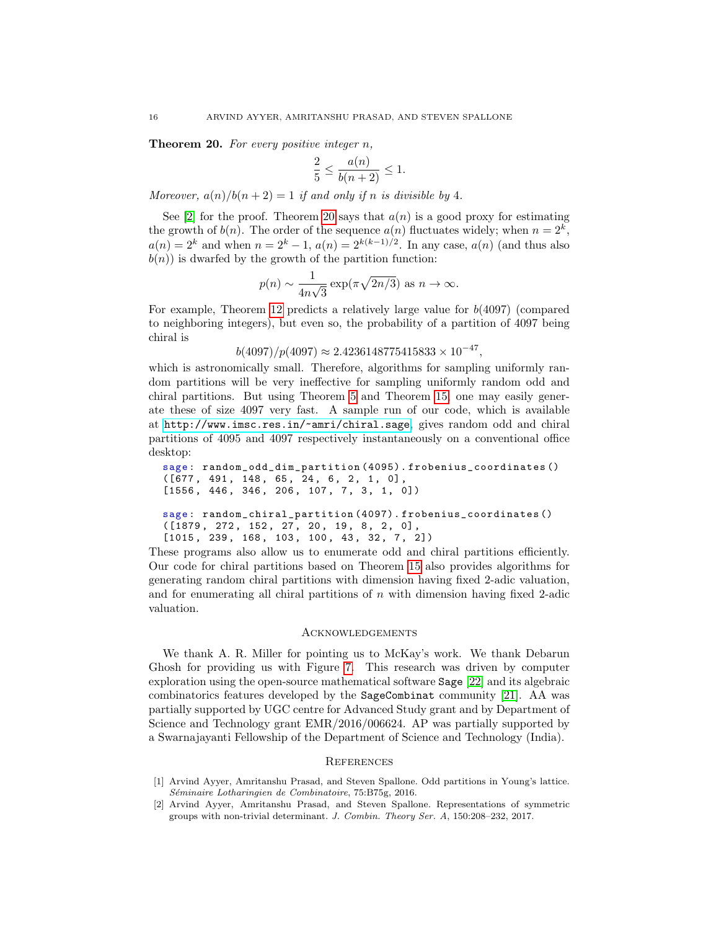<span id="page-15-2"></span>Theorem 20. For every positive integer n,

$$
\frac{2}{5}\leq \frac{a(n)}{b(n+2)}\leq 1.
$$

Moreover,  $a(n)/b(n+2) = 1$  if and only if n is divisible by 4.

See [\[2\]](#page-15-1) for the proof. Theorem [20](#page-15-2) says that  $a(n)$  is a good proxy for estimating the growth of  $b(n)$ . The order of the sequence  $a(n)$  fluctuates widely; when  $n = 2<sup>k</sup>$ ,  $a(n) = 2<sup>k</sup>$  and when  $n = 2<sup>k</sup> - 1$ ,  $a(n) = 2<sup>k(k-1)/2</sup>$ . In any case,  $a(n)$  (and thus also  $b(n)$ ) is dwarfed by the growth of the partition function:

$$
p(n) \sim \frac{1}{4n\sqrt{3}} \exp(\pi \sqrt{2n/3})
$$
 as  $n \to \infty$ .

For example, Theorem [12](#page-10-0) predicts a relatively large value for  $b(4097)$  (compared to neighboring integers), but even so, the probability of a partition of 4097 being chiral is

 $b(4097)/p(4097) \approx 2.4236148775415833 \times 10^{-47}$ ,

which is astronomically small. Therefore, algorithms for sampling uniformly random partitions will be very ineffective for sampling uniformly random odd and chiral partitions. But using Theorem [5](#page-5-1) and Theorem [15,](#page-11-1) one may easily generate these of size 4097 very fast. A sample run of our code, which is available at <http://www.imsc.res.in/~amri/chiral.sage>, gives random odd and chiral partitions of 4095 and 4097 respectively instantaneously on a conventional office desktop:

```
sage : random_odd_dim_partition (4095). frobenius_coordinates ()
([677, 491, 148, 65, 24, 6, 2, 1, 0],[1556, 446, 346, 206, 107, 7, 3, 1, 0])sage : random_chiral_partition (4097). frobenius_coordinates ()
([1879 , 272 , 152 , 27 , 20 , 19 , 8 , 2 , 0] ,
[1015, 239, 168, 103, 100, 43, 32, 7, 2])
```
These programs also allow us to enumerate odd and chiral partitions efficiently. Our code for chiral partitions based on Theorem [15](#page-11-1) also provides algorithms for generating random chiral partitions with dimension having fixed 2-adic valuation, and for enumerating all chiral partitions of  $n$  with dimension having fixed 2-adic valuation.

# **ACKNOWLEDGEMENTS**

We thank A. R. Miller for pointing us to McKay's work. We thank Debarun Ghosh for providing us with Figure [7.](#page-13-0) This research was driven by computer exploration using the open-source mathematical software Sage [\[22\]](#page-16-18) and its algebraic combinatorics features developed by the SageCombinat community [\[21\]](#page-16-19). AA was partially supported by UGC centre for Advanced Study grant and by Department of Science and Technology grant EMR/2016/006624. AP was partially supported by a Swarnajayanti Fellowship of the Department of Science and Technology (India).

## **REFERENCES**

- <span id="page-15-0"></span>[1] Arvind Ayyer, Amritanshu Prasad, and Steven Spallone. Odd partitions in Young's lattice. Séminaire Lotharingien de Combinatoire, 75:B75g, 2016.
- <span id="page-15-1"></span>[2] Arvind Ayyer, Amritanshu Prasad, and Steven Spallone. Representations of symmetric groups with non-trivial determinant. J. Combin. Theory Ser. A, 150:208–232, 2017.